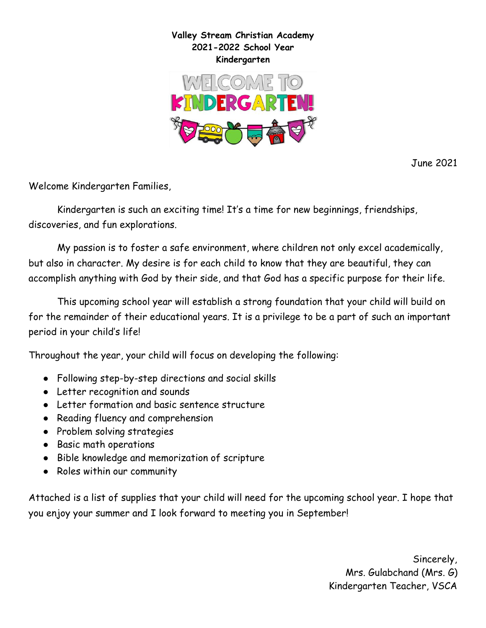

June 2021

Welcome Kindergarten Families,

Kindergarten is such an exciting time! It's a time for new beginnings, friendships, discoveries, and fun explorations.

My passion is to foster a safe environment, where children not only excel academically, but also in character. My desire is for each child to know that they are beautiful, they can accomplish anything with God by their side, and that God has a specific purpose for their life.

This upcoming school year will establish a strong foundation that your child will build on for the remainder of their educational years. It is a privilege to be a part of such an important period in your child's life!

Throughout the year, your child will focus on developing the following:

- Following step-by-step directions and social skills
- Letter recognition and sounds
- Letter formation and basic sentence structure
- Reading fluency and comprehension
- Problem solving strategies
- Basic math operations
- Bible knowledge and memorization of scripture
- Roles within our community

Attached is a list of supplies that your child will need for the upcoming school year. I hope that you enjoy your summer and I look forward to meeting you in September!

> Sincerely, Mrs. Gulabchand (Mrs. G) Kindergarten Teacher, VSCA